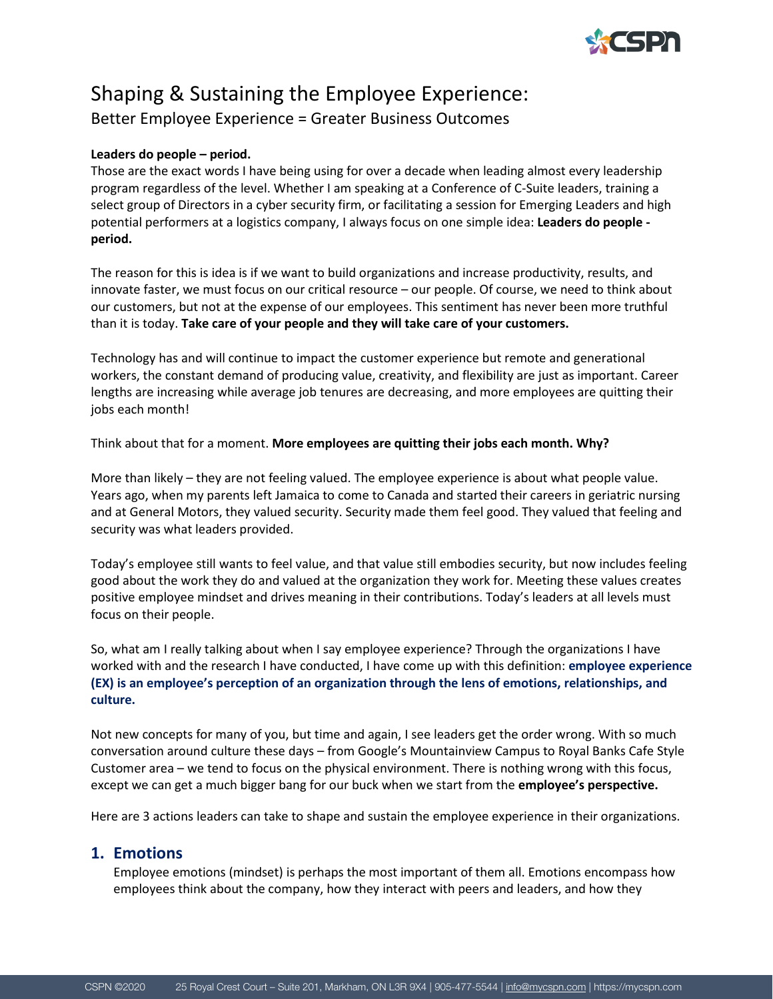

# Shaping & Sustaining the Employee Experience:

Better Employee Experience = Greater Business Outcomes

### **Leaders do people – period.**

Those are the exact words I have being using for over a decade when leading almost every leadership program regardless of the level. Whether I am speaking at a Conference of C-Suite leaders, training a select group of Directors in a cyber security firm, or facilitating a session for Emerging Leaders and high potential performers at a logistics company, I always focus on one simple idea: **Leaders do people period.**

The reason for this is idea is if we want to build organizations and increase productivity, results, and innovate faster, we must focus on our critical resource – our people. Of course, we need to think about our customers, but not at the expense of our employees. This sentiment has never been more truthful than it is today. **Take care of your people and they will take care of your customers.**

Technology has and will continue to impact the customer experience but remote and generational workers, the constant demand of producing value, creativity, and flexibility are just as important. Career lengths are increasing while average job tenures are decreasing, and more employees are quitting their jobs each month!

Think about that for a moment. **More employees are quitting their jobs each month. Why?**

More than likely – they are not feeling valued. The employee experience is about what people value. Years ago, when my parents left Jamaica to come to Canada and started their careers in geriatric nursing and at General Motors, they valued security. Security made them feel good. They valued that feeling and security was what leaders provided.

Today's employee still wants to feel value, and that value still embodies security, but now includes feeling good about the work they do and valued at the organization they work for. Meeting these values creates positive employee mindset and drives meaning in their contributions. Today's leaders at all levels must focus on their people.

So, what am I really talking about when I say employee experience? Through the organizations I have worked with and the research I have conducted, I have come up with this definition: **employee experience (EX) is an employee's perception of an organization through the lens of emotions, relationships, and culture.**

Not new concepts for many of you, but time and again, I see leaders get the order wrong. With so much conversation around culture these days – from Google's Mountainview Campus to Royal Banks Cafe Style Customer area – we tend to focus on the physical environment. There is nothing wrong with this focus, except we can get a much bigger bang for our buck when we start from the **employee's perspective.**

Here are 3 actions leaders can take to shape and sustain the employee experience in their organizations.

## **1. Emotions**

Employee emotions (mindset) is perhaps the most important of them all. Emotions encompass how employees think about the company, how they interact with peers and leaders, and how they